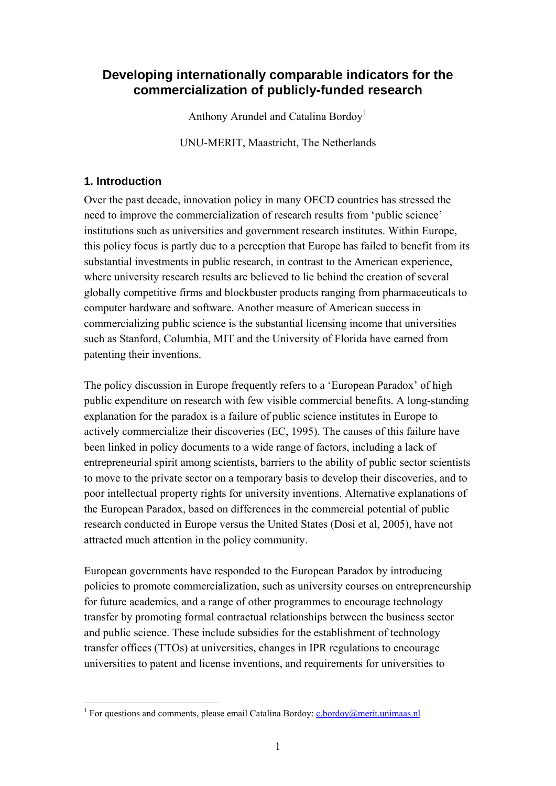# **Developing internationally comparable indicators for the commercialization of publicly-funded research**

Anthony Arundel and Catalina Bordoy<sup>[1](#page-0-0)</sup>

UNU-MERIT, Maastricht, The Netherlands

# **1. Introduction**

1

Over the past decade, innovation policy in many OECD countries has stressed the need to improve the commercialization of research results from 'public science' institutions such as universities and government research institutes. Within Europe, this policy focus is partly due to a perception that Europe has failed to benefit from its substantial investments in public research, in contrast to the American experience, where university research results are believed to lie behind the creation of several globally competitive firms and blockbuster products ranging from pharmaceuticals to computer hardware and software. Another measure of American success in commercializing public science is the substantial licensing income that universities such as Stanford, Columbia, MIT and the University of Florida have earned from patenting their inventions.

The policy discussion in Europe frequently refers to a 'European Paradox' of high public expenditure on research with few visible commercial benefits. A long-standing explanation for the paradox is a failure of public science institutes in Europe to actively commercialize their discoveries (EC, 1995). The causes of this failure have been linked in policy documents to a wide range of factors, including a lack of entrepreneurial spirit among scientists, barriers to the ability of public sector scientists to move to the private sector on a temporary basis to develop their discoveries, and to poor intellectual property rights for university inventions. Alternative explanations of the European Paradox, based on differences in the commercial potential of public research conducted in Europe versus the United States (Dosi et al, 2005), have not attracted much attention in the policy community.

European governments have responded to the European Paradox by introducing policies to promote commercialization, such as university courses on entrepreneurship for future academics, and a range of other programmes to encourage technology transfer by promoting formal contractual relationships between the business sector and public science. These include subsidies for the establishment of technology transfer offices (TTOs) at universities, changes in IPR regulations to encourage universities to patent and license inventions, and requirements for universities to

<span id="page-0-0"></span><sup>&</sup>lt;sup>1</sup> For questions and comments, please email Catalina Bordoy:  $c$ .bordoy@merit.unimaas.nl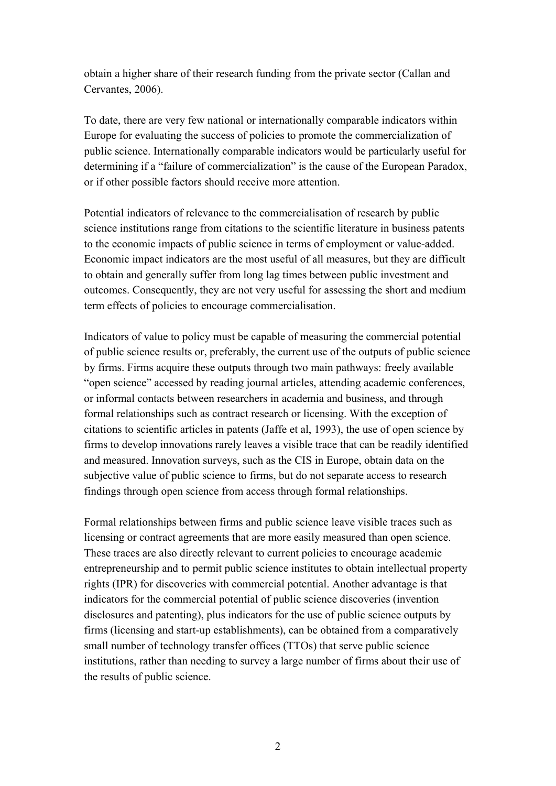obtain a higher share of their research funding from the private sector (Callan and Cervantes, 2006).

To date, there are very few national or internationally comparable indicators within Europe for evaluating the success of policies to promote the commercialization of public science. Internationally comparable indicators would be particularly useful for determining if a "failure of commercialization" is the cause of the European Paradox, or if other possible factors should receive more attention.

Potential indicators of relevance to the commercialisation of research by public science institutions range from citations to the scientific literature in business patents to the economic impacts of public science in terms of employment or value-added. Economic impact indicators are the most useful of all measures, but they are difficult to obtain and generally suffer from long lag times between public investment and outcomes. Consequently, they are not very useful for assessing the short and medium term effects of policies to encourage commercialisation.

Indicators of value to policy must be capable of measuring the commercial potential of public science results or, preferably, the current use of the outputs of public science by firms. Firms acquire these outputs through two main pathways: freely available "open science" accessed by reading journal articles, attending academic conferences, or informal contacts between researchers in academia and business, and through formal relationships such as contract research or licensing. With the exception of citations to scientific articles in patents (Jaffe et al, 1993), the use of open science by firms to develop innovations rarely leaves a visible trace that can be readily identified and measured. Innovation surveys, such as the CIS in Europe, obtain data on the subjective value of public science to firms, but do not separate access to research findings through open science from access through formal relationships.

Formal relationships between firms and public science leave visible traces such as licensing or contract agreements that are more easily measured than open science. These traces are also directly relevant to current policies to encourage academic entrepreneurship and to permit public science institutes to obtain intellectual property rights (IPR) for discoveries with commercial potential. Another advantage is that indicators for the commercial potential of public science discoveries (invention disclosures and patenting), plus indicators for the use of public science outputs by firms (licensing and start-up establishments), can be obtained from a comparatively small number of technology transfer offices (TTOs) that serve public science institutions, rather than needing to survey a large number of firms about their use of the results of public science.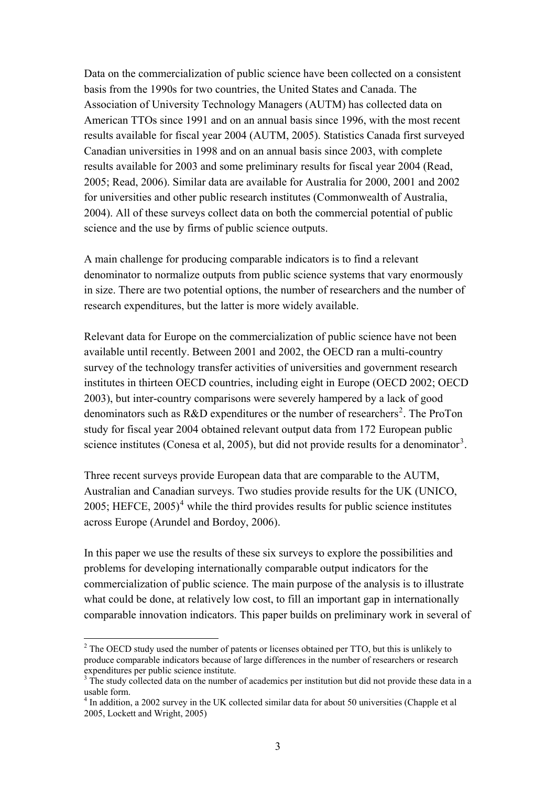Data on the commercialization of public science have been collected on a consistent basis from the 1990s for two countries, the United States and Canada. The Association of University Technology Managers (AUTM) has collected data on American TTOs since 1991 and on an annual basis since 1996, with the most recent results available for fiscal year 2004 (AUTM, 2005). Statistics Canada first surveyed Canadian universities in 1998 and on an annual basis since 2003, with complete results available for 2003 and some preliminary results for fiscal year 2004 (Read, 2005; Read, 2006). Similar data are available for Australia for 2000, 2001 and 2002 for universities and other public research institutes (Commonwealth of Australia, 2004). All of these surveys collect data on both the commercial potential of public science and the use by firms of public science outputs.

A main challenge for producing comparable indicators is to find a relevant denominator to normalize outputs from public science systems that vary enormously in size. There are two potential options, the number of researchers and the number of research expenditures, but the latter is more widely available.

Relevant data for Europe on the commercialization of public science have not been available until recently. Between 2001 and 2002, the OECD ran a multi-country survey of the technology transfer activities of universities and government research institutes in thirteen OECD countries, including eight in Europe (OECD 2002; OECD 2003), but inter-country comparisons were severely hampered by a lack of good denominators such as  $R&D$  expenditures or the number of researchers<sup>[2](#page-2-0)</sup>. The ProTon study for fiscal year 2004 obtained relevant output data from 172 European public science institutes (Conesa et al, 2005), but did not provide results for a denominator<sup>[3](#page-2-1)</sup>.

Three recent surveys provide European data that are comparable to the AUTM, Australian and Canadian surveys. Two studies provide results for the UK (UNICO, 2005; HEFCE,  $2005$ <sup>[4](#page-2-2)</sup> while the third provides results for public science institutes across Europe (Arundel and Bordoy, 2006).

In this paper we use the results of these six surveys to explore the possibilities and problems for developing internationally comparable output indicators for the commercialization of public science. The main purpose of the analysis is to illustrate what could be done, at relatively low cost, to fill an important gap in internationally comparable innovation indicators. This paper builds on preliminary work in several of

1

<span id="page-2-0"></span> $2^2$  The OECD study used the number of patents or licenses obtained per TTO, but this is unlikely to produce comparable indicators because of large differences in the number of researchers or research expenditures per public science institute.

<span id="page-2-1"></span> $3$  The study collected data on the number of academics per institution but did not provide these data in a usable form.

<span id="page-2-2"></span><sup>&</sup>lt;sup>4</sup> In addition, a 2002 survey in the UK collected similar data for about 50 universities (Chapple et al 2005, Lockett and Wright, 2005)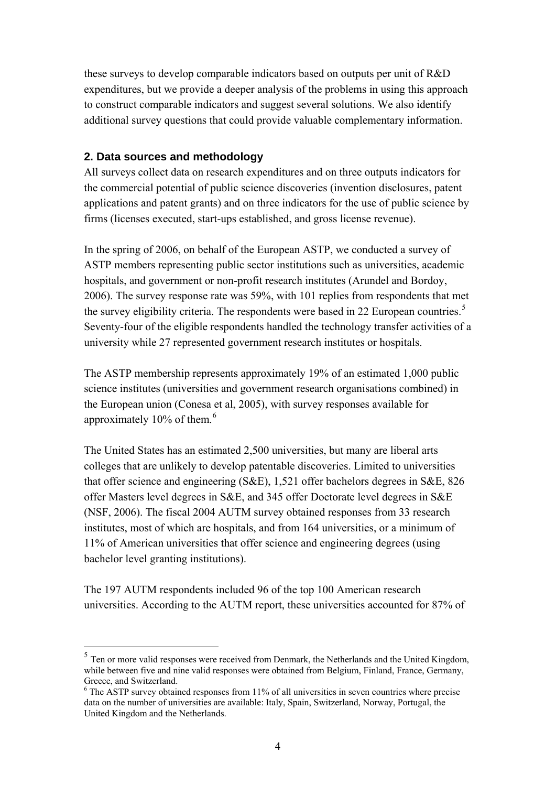these surveys to develop comparable indicators based on outputs per unit of R&D expenditures, but we provide a deeper analysis of the problems in using this approach to construct comparable indicators and suggest several solutions. We also identify additional survey questions that could provide valuable complementary information.

### **2. Data sources and methodology**

1

All surveys collect data on research expenditures and on three outputs indicators for the commercial potential of public science discoveries (invention disclosures, patent applications and patent grants) and on three indicators for the use of public science by firms (licenses executed, start-ups established, and gross license revenue).

In the spring of 2006, on behalf of the European ASTP, we conducted a survey of ASTP members representing public sector institutions such as universities, academic hospitals, and government or non-profit research institutes (Arundel and Bordoy, 2006). The survey response rate was 59%, with 101 replies from respondents that met the survey eligibility criteria. The respondents were based in 22 European countries.<sup>[5](#page-3-0)</sup> Seventy-four of the eligible respondents handled the technology transfer activities of a university while 27 represented government research institutes or hospitals.

The ASTP membership represents approximately 19% of an estimated 1,000 public science institutes (universities and government research organisations combined) in the European union (Conesa et al, 2005), with survey responses available for approximately  $10\%$  of them.<sup>[6](#page-3-1)</sup>

The United States has an estimated 2,500 universities, but many are liberal arts colleges that are unlikely to develop patentable discoveries. Limited to universities that offer science and engineering (S&E), 1,521 offer bachelors degrees in S&E, 826 offer Masters level degrees in S&E, and 345 offer Doctorate level degrees in S&E (NSF, 2006). The fiscal 2004 AUTM survey obtained responses from 33 research institutes, most of which are hospitals, and from 164 universities, or a minimum of 11% of American universities that offer science and engineering degrees (using bachelor level granting institutions).

The 197 AUTM respondents included 96 of the top 100 American research universities. According to the AUTM report, these universities accounted for 87% of

<span id="page-3-0"></span><sup>&</sup>lt;sup>5</sup> Ten or more valid responses were received from Denmark, the Netherlands and the United Kingdom, while between five and nine valid responses were obtained from Belgium, Finland, France, Germany, Greece, and Switzerland.

<span id="page-3-1"></span><sup>&</sup>lt;sup>6</sup> The ASTP survey obtained responses from 11% of all universities in seven countries where precise data on the number of universities are available: Italy, Spain, Switzerland, Norway, Portugal, the United Kingdom and the Netherlands.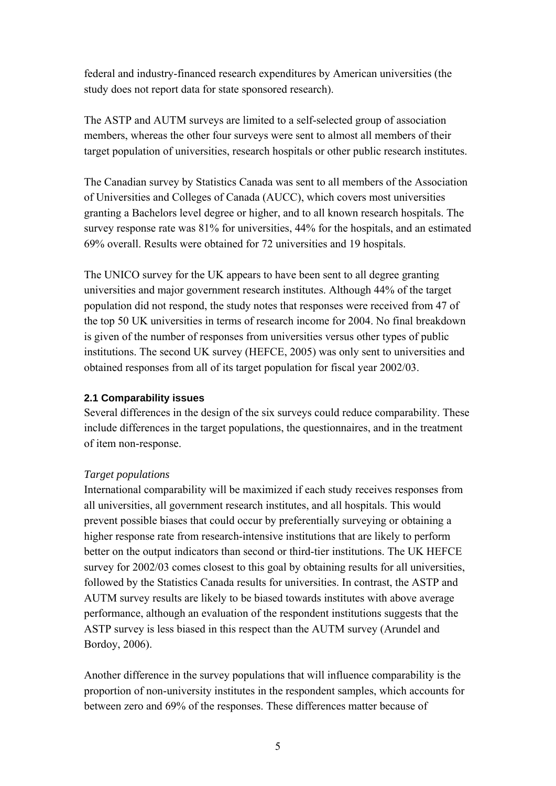federal and industry-financed research expenditures by American universities (the study does not report data for state sponsored research).

The ASTP and AUTM surveys are limited to a self-selected group of association members, whereas the other four surveys were sent to almost all members of their target population of universities, research hospitals or other public research institutes.

The Canadian survey by Statistics Canada was sent to all members of the Association of Universities and Colleges of Canada (AUCC), which covers most universities granting a Bachelors level degree or higher, and to all known research hospitals. The survey response rate was 81% for universities, 44% for the hospitals, and an estimated 69% overall. Results were obtained for 72 universities and 19 hospitals.

The UNICO survey for the UK appears to have been sent to all degree granting universities and major government research institutes. Although 44% of the target population did not respond, the study notes that responses were received from 47 of the top 50 UK universities in terms of research income for 2004. No final breakdown is given of the number of responses from universities versus other types of public institutions. The second UK survey (HEFCE, 2005) was only sent to universities and obtained responses from all of its target population for fiscal year 2002/03.

### **2.1 Comparability issues**

Several differences in the design of the six surveys could reduce comparability. These include differences in the target populations, the questionnaires, and in the treatment of item non-response.

### *Target populations*

International comparability will be maximized if each study receives responses from all universities, all government research institutes, and all hospitals. This would prevent possible biases that could occur by preferentially surveying or obtaining a higher response rate from research-intensive institutions that are likely to perform better on the output indicators than second or third-tier institutions. The UK HEFCE survey for 2002/03 comes closest to this goal by obtaining results for all universities, followed by the Statistics Canada results for universities. In contrast, the ASTP and AUTM survey results are likely to be biased towards institutes with above average performance, although an evaluation of the respondent institutions suggests that the ASTP survey is less biased in this respect than the AUTM survey (Arundel and Bordoy, 2006).

Another difference in the survey populations that will influence comparability is the proportion of non-university institutes in the respondent samples, which accounts for between zero and 69% of the responses. These differences matter because of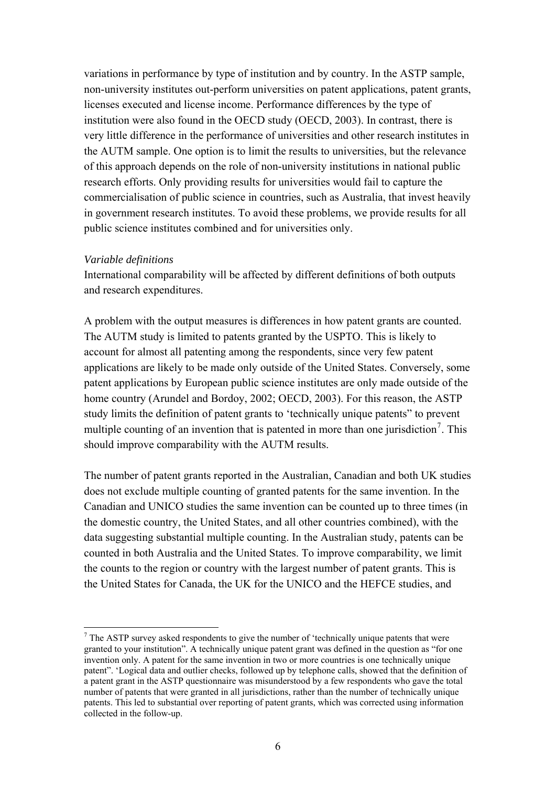variations in performance by type of institution and by country. In the ASTP sample, non-university institutes out-perform universities on patent applications, patent grants, licenses executed and license income. Performance differences by the type of institution were also found in the OECD study (OECD, 2003). In contrast, there is very little difference in the performance of universities and other research institutes in the AUTM sample. One option is to limit the results to universities, but the relevance of this approach depends on the role of non-university institutions in national public research efforts. Only providing results for universities would fail to capture the commercialisation of public science in countries, such as Australia, that invest heavily in government research institutes. To avoid these problems, we provide results for all public science institutes combined and for universities only.

### *Variable definitions*

<u>.</u>

International comparability will be affected by different definitions of both outputs and research expenditures.

A problem with the output measures is differences in how patent grants are counted. The AUTM study is limited to patents granted by the USPTO. This is likely to account for almost all patenting among the respondents, since very few patent applications are likely to be made only outside of the United States. Conversely, some patent applications by European public science institutes are only made outside of the home country (Arundel and Bordoy, 2002; OECD, 2003). For this reason, the ASTP study limits the definition of patent grants to 'technically unique patents" to prevent multiple counting of an invention that is patented in more than one jurisdiction<sup>[7](#page-5-0)</sup>. This should improve comparability with the AUTM results.

The number of patent grants reported in the Australian, Canadian and both UK studies does not exclude multiple counting of granted patents for the same invention. In the Canadian and UNICO studies the same invention can be counted up to three times (in the domestic country, the United States, and all other countries combined), with the data suggesting substantial multiple counting. In the Australian study, patents can be counted in both Australia and the United States. To improve comparability, we limit the counts to the region or country with the largest number of patent grants. This is the United States for Canada, the UK for the UNICO and the HEFCE studies, and

<span id="page-5-0"></span> $<sup>7</sup>$  The ASTP survey asked respondents to give the number of 'technically unique patents that were</sup> granted to your institution". A technically unique patent grant was defined in the question as "for one invention only. A patent for the same invention in two or more countries is one technically unique patent". 'Logical data and outlier checks, followed up by telephone calls, showed that the definition of a patent grant in the ASTP questionnaire was misunderstood by a few respondents who gave the total number of patents that were granted in all jurisdictions, rather than the number of technically unique patents. This led to substantial over reporting of patent grants, which was corrected using information collected in the follow-up.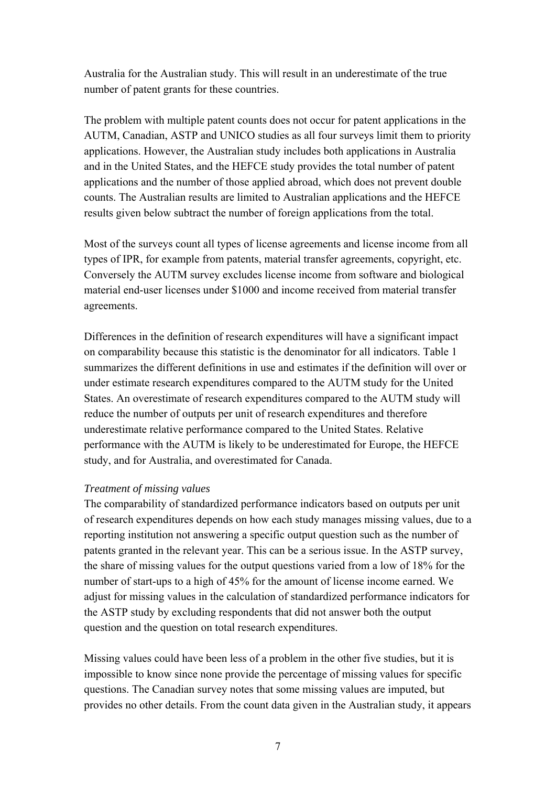Australia for the Australian study. This will result in an underestimate of the true number of patent grants for these countries.

The problem with multiple patent counts does not occur for patent applications in the AUTM, Canadian, ASTP and UNICO studies as all four surveys limit them to priority applications. However, the Australian study includes both applications in Australia and in the United States, and the HEFCE study provides the total number of patent applications and the number of those applied abroad, which does not prevent double counts. The Australian results are limited to Australian applications and the HEFCE results given below subtract the number of foreign applications from the total.

Most of the surveys count all types of license agreements and license income from all types of IPR, for example from patents, material transfer agreements, copyright, etc. Conversely the AUTM survey excludes license income from software and biological material end-user licenses under \$1000 and income received from material transfer agreements.

Differences in the definition of research expenditures will have a significant impact on comparability because this statistic is the denominator for all indicators. Table 1 summarizes the different definitions in use and estimates if the definition will over or under estimate research expenditures compared to the AUTM study for the United States. An overestimate of research expenditures compared to the AUTM study will reduce the number of outputs per unit of research expenditures and therefore underestimate relative performance compared to the United States. Relative performance with the AUTM is likely to be underestimated for Europe, the HEFCE study, and for Australia, and overestimated for Canada.

### *Treatment of missing values*

The comparability of standardized performance indicators based on outputs per unit of research expenditures depends on how each study manages missing values, due to a reporting institution not answering a specific output question such as the number of patents granted in the relevant year. This can be a serious issue. In the ASTP survey, the share of missing values for the output questions varied from a low of 18% for the number of start-ups to a high of 45% for the amount of license income earned. We adjust for missing values in the calculation of standardized performance indicators for the ASTP study by excluding respondents that did not answer both the output question and the question on total research expenditures.

Missing values could have been less of a problem in the other five studies, but it is impossible to know since none provide the percentage of missing values for specific questions. The Canadian survey notes that some missing values are imputed, but provides no other details. From the count data given in the Australian study, it appears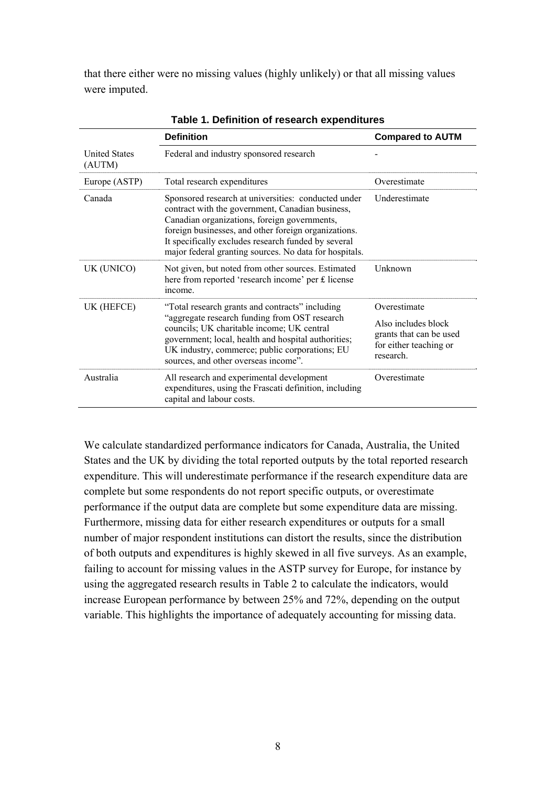that there either were no missing values (highly unlikely) or that all missing values were imputed.

|                                | <b>Definition</b>                                                                                                                                                                                                                                                                                                                | <b>Compared to AUTM</b>                                                               |  |  |  |
|--------------------------------|----------------------------------------------------------------------------------------------------------------------------------------------------------------------------------------------------------------------------------------------------------------------------------------------------------------------------------|---------------------------------------------------------------------------------------|--|--|--|
| <b>United States</b><br>(AUTM) | Federal and industry sponsored research                                                                                                                                                                                                                                                                                          |                                                                                       |  |  |  |
| Europe (ASTP)                  | Total research expenditures                                                                                                                                                                                                                                                                                                      | Overestimate                                                                          |  |  |  |
| Canada                         | Sponsored research at universities: conducted under<br>contract with the government, Canadian business,<br>Canadian organizations, foreign governments,<br>foreign businesses, and other foreign organizations.<br>It specifically excludes research funded by several<br>major federal granting sources. No data for hospitals. | Underestimate                                                                         |  |  |  |
| UK (UNICO)                     | Not given, but noted from other sources. Estimated<br>here from reported 'research income' per £ license<br>income.                                                                                                                                                                                                              | Unknown                                                                               |  |  |  |
| UK (HEFCE)                     | "Total research grants and contracts" including                                                                                                                                                                                                                                                                                  | Overestimate                                                                          |  |  |  |
|                                | "aggregate research funding from OST research<br>councils; UK charitable income; UK central<br>government; local, health and hospital authorities;<br>UK industry, commerce; public corporations; EU<br>sources, and other overseas income".                                                                                     | Also includes block<br>grants that can be used<br>for either teaching or<br>research. |  |  |  |
| Australia                      | All research and experimental development<br>expenditures, using the Frascati definition, including<br>capital and labour costs.                                                                                                                                                                                                 | Overestimate                                                                          |  |  |  |

**Table 1. Definition of research expenditures** 

We calculate standardized performance indicators for Canada, Australia, the United States and the UK by dividing the total reported outputs by the total reported research expenditure. This will underestimate performance if the research expenditure data are complete but some respondents do not report specific outputs, or overestimate performance if the output data are complete but some expenditure data are missing. Furthermore, missing data for either research expenditures or outputs for a small number of major respondent institutions can distort the results, since the distribution of both outputs and expenditures is highly skewed in all five surveys. As an example, failing to account for missing values in the ASTP survey for Europe, for instance by using the aggregated research results in Table 2 to calculate the indicators, would increase European performance by between 25% and 72%, depending on the output variable. This highlights the importance of adequately accounting for missing data.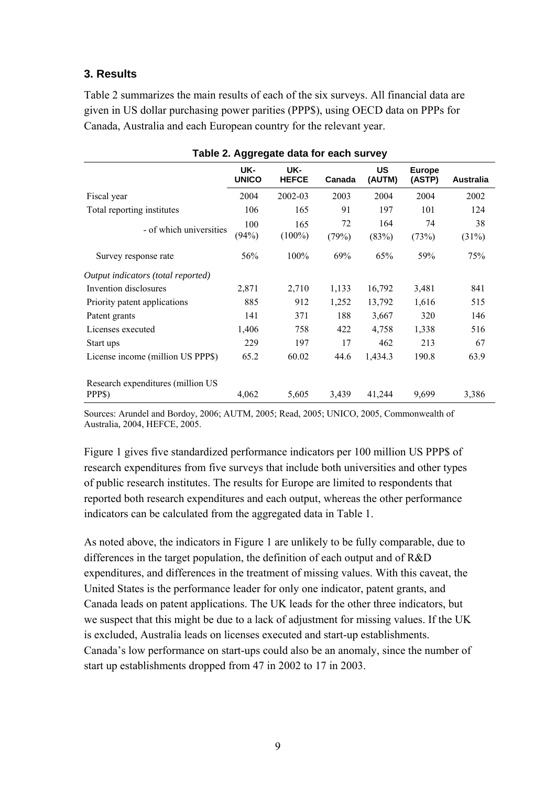# **3. Results**

Table 2 summarizes the main results of each of the six surveys. All financial data are given in US dollar purchasing power parities (PPP\$), using OECD data on PPPs for Canada, Australia and each European country for the relevant year.

| Table 2. Aggregate data for each survey |                     |                     |             |                     |                         |                  |  |  |  |
|-----------------------------------------|---------------------|---------------------|-------------|---------------------|-------------------------|------------------|--|--|--|
|                                         | UK-<br><b>UNICO</b> | UK-<br><b>HEFCE</b> | Canada      | <b>US</b><br>(AUTM) | <b>Europe</b><br>(ASTP) | <b>Australia</b> |  |  |  |
| Fiscal year                             | 2004                | 2002-03             | 2003        | 2004                | 2004                    | 2002             |  |  |  |
| Total reporting institutes              | 106                 | 165                 | 91          | 197                 | 101                     | 124              |  |  |  |
| - of which universities                 | 100<br>(94%)        | 165<br>$(100\%)$    | 72<br>(79%) | 164<br>(83%)        | 74<br>(73%)             | 38<br>(31%)      |  |  |  |
| Survey response rate                    | 56%                 | 100%                | 69%         | 65%                 | 59%                     | 75%              |  |  |  |
| Output indicators (total reported)      |                     |                     |             |                     |                         |                  |  |  |  |
| Invention disclosures                   | 2,871               | 2,710               | 1,133       | 16,792              | 3,481                   | 841              |  |  |  |
| Priority patent applications            | 885                 | 912                 | 1,252       | 13,792              | 1,616                   | 515              |  |  |  |
| Patent grants                           | 141                 | 371                 | 188         | 3,667               | 320                     | 146              |  |  |  |
| Licenses executed                       | 1,406               | 758                 | 422         | 4,758               | 1,338                   | 516              |  |  |  |
| Start ups                               | 229                 | 197                 | 17          | 462                 | 213                     | 67               |  |  |  |
| License income (million US PPP\$)       | 65.2                | 60.02               | 44.6        | 1,434.3             | 190.8                   | 63.9             |  |  |  |
| Research expenditures (million US       |                     |                     |             |                     |                         |                  |  |  |  |
| PPP\$)                                  | 4,062               | 5,605               | 3,439       | 41,244              | 9,699                   | 3,386            |  |  |  |

**Table 2. Aggregate data for each survey** 

Sources: Arundel and Bordoy, 2006; AUTM, 2005; Read, 2005; UNICO, 2005, Commonwealth of Australia, 2004, HEFCE, 2005.

Figure 1 gives five standardized performance indicators per 100 million US PPP\$ of research expenditures from five surveys that include both universities and other types of public research institutes. The results for Europe are limited to respondents that reported both research expenditures and each output, whereas the other performance indicators can be calculated from the aggregated data in Table 1.

As noted above, the indicators in Figure 1 are unlikely to be fully comparable, due to differences in the target population, the definition of each output and of R&D expenditures, and differences in the treatment of missing values. With this caveat, the United States is the performance leader for only one indicator, patent grants, and Canada leads on patent applications. The UK leads for the other three indicators, but we suspect that this might be due to a lack of adjustment for missing values. If the UK is excluded, Australia leads on licenses executed and start-up establishments. Canada's low performance on start-ups could also be an anomaly, since the number of start up establishments dropped from 47 in 2002 to 17 in 2003.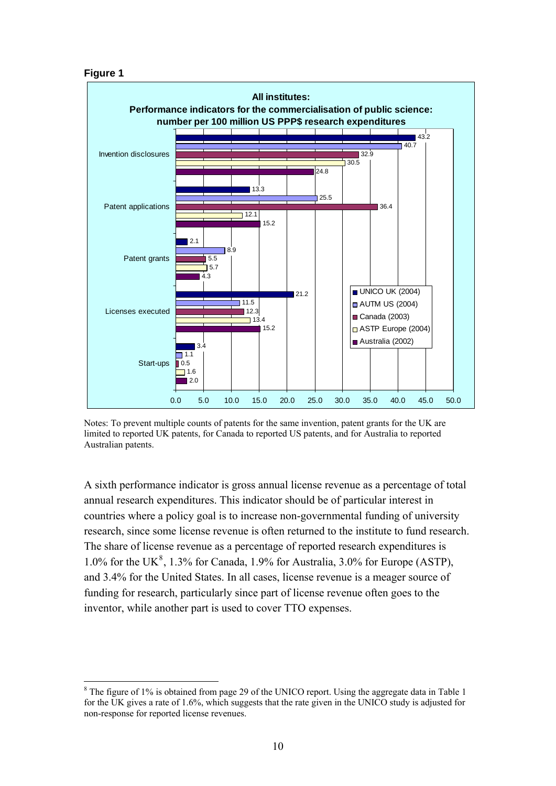#### **Figure 1**

1



Notes: To prevent multiple counts of patents for the same invention, patent grants for the UK are limited to reported UK patents, for Canada to reported US patents, and for Australia to reported Australian patents.

A sixth performance indicator is gross annual license revenue as a percentage of total annual research expenditures. This indicator should be of particular interest in countries where a policy goal is to increase non-governmental funding of university research, since some license revenue is often returned to the institute to fund research. The share of license revenue as a percentage of reported research expenditures is 1.0% for the UK<sup>[8](#page-9-0)</sup>, 1.3% for Canada, 1.9% for Australia, 3.0% for Europe (ASTP), and 3.4% for the United States. In all cases, license revenue is a meager source of funding for research, particularly since part of license revenue often goes to the inventor, while another part is used to cover TTO expenses.

<span id="page-9-0"></span> $8$  The figure of 1% is obtained from page 29 of the UNICO report. Using the aggregate data in Table 1 for the UK gives a rate of 1.6%, which suggests that the rate given in the UNICO study is adjusted for non-response for reported license revenues.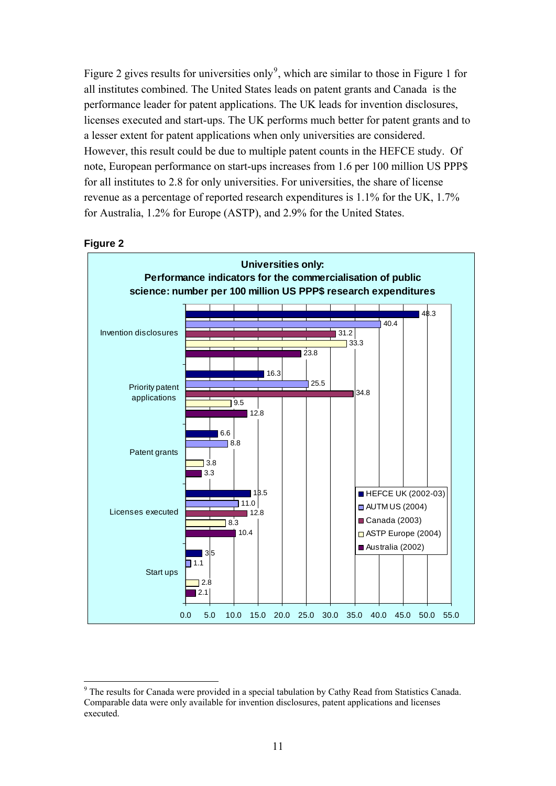Figure 2 gives results for universities only<sup>[9](#page-10-0)</sup>, which are similar to those in Figure 1 for all institutes combined. The United States leads on patent grants and Canada is the performance leader for patent applications. The UK leads for invention disclosures, licenses executed and start-ups. The UK performs much better for patent grants and to a lesser extent for patent applications when only universities are considered. However, this result could be due to multiple patent counts in the HEFCE study. Of note, European performance on start-ups increases from 1.6 per 100 million US PPP\$ for all institutes to 2.8 for only universities. For universities, the share of license revenue as a percentage of reported research expenditures is 1.1% for the UK, 1.7% for Australia, 1.2% for Europe (ASTP), and 2.9% for the United States.



**Figure 2** 

1

<span id="page-10-0"></span><sup>&</sup>lt;sup>9</sup> The results for Canada were provided in a special tabulation by Cathy Read from Statistics Canada. Comparable data were only available for invention disclosures, patent applications and licenses executed.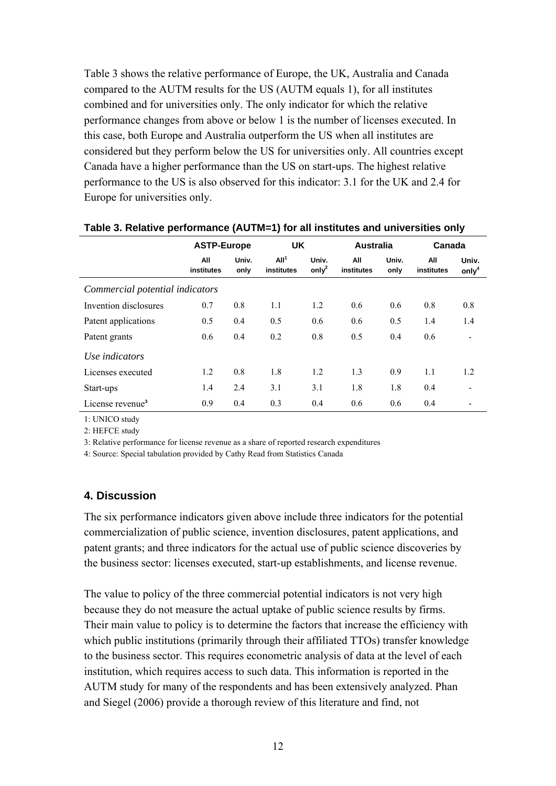Table 3 shows the relative performance of Europe, the UK, Australia and Canada compared to the AUTM results for the US (AUTM equals 1), for all institutes combined and for universities only. The only indicator for which the relative performance changes from above or below 1 is the number of licenses executed. In this case, both Europe and Australia outperform the US when all institutes are considered but they perform below the US for universities only. All countries except Canada have a higher performance than the US on start-ups. The highest relative performance to the US is also observed for this indicator: 3.1 for the UK and 2.4 for Europe for universities only.

|                                 | <b>ASTP-Europe</b> |               | <b>UK</b>                      |                            | <b>Australia</b>  |               | Canada            |                          |
|---------------------------------|--------------------|---------------|--------------------------------|----------------------------|-------------------|---------------|-------------------|--------------------------|
|                                 | All<br>institutes  | Univ.<br>only | All <sup>1</sup><br>institutes | Univ.<br>only <sup>2</sup> | All<br>institutes | Univ.<br>only | All<br>institutes | Univ.<br>only $4$        |
| Commercial potential indicators |                    |               |                                |                            |                   |               |                   |                          |
| Invention disclosures           | 0.7                | 0.8           | 1.1                            | 1.2                        | 0.6               | 0.6           | 0.8               | 0.8                      |
| Patent applications             | 0.5                | 0.4           | 0.5                            | 0.6                        | 0.6               | 0.5           | 1.4               | 1.4                      |
| Patent grants                   | 0.6                | 0.4           | 0.2                            | 0.8                        | 0.5               | 0.4           | 0.6               | ۰                        |
| Use indicators                  |                    |               |                                |                            |                   |               |                   |                          |
| Licenses executed               | 1.2                | 0.8           | 1.8                            | 1.2                        | 1.3               | 0.9           | 1.1               | 1.2                      |
| Start-ups                       | 1.4                | 2.4           | 3.1                            | 3.1                        | 1.8               | 1.8           | 0.4               | $\overline{\phantom{a}}$ |
| License revenue <sup>3</sup>    | 0.9                | 0.4           | 0.3                            | 0.4                        | 0.6               | 0.6           | 0.4               |                          |

#### **Table 3. Relative performance (AUTM=1) for all institutes and universities only**

1: UNICO study

2: HEFCE study

3: Relative performance for license revenue as a share of reported research expenditures

4: Source: Special tabulation provided by Cathy Read from Statistics Canada

### **4. Discussion**

The six performance indicators given above include three indicators for the potential commercialization of public science, invention disclosures, patent applications, and patent grants; and three indicators for the actual use of public science discoveries by the business sector: licenses executed, start-up establishments, and license revenue.

The value to policy of the three commercial potential indicators is not very high because they do not measure the actual uptake of public science results by firms. Their main value to policy is to determine the factors that increase the efficiency with which public institutions (primarily through their affiliated TTOs) transfer knowledge to the business sector. This requires econometric analysis of data at the level of each institution, which requires access to such data. This information is reported in the AUTM study for many of the respondents and has been extensively analyzed. Phan and Siegel (2006) provide a thorough review of this literature and find, not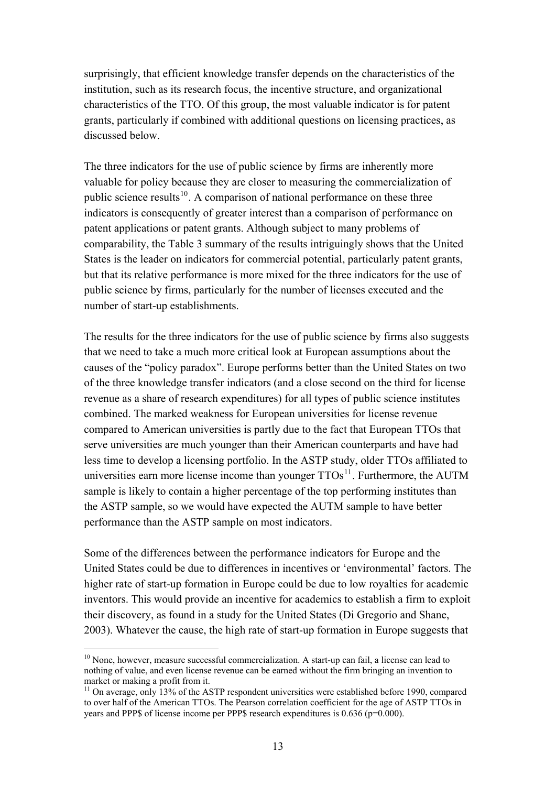surprisingly, that efficient knowledge transfer depends on the characteristics of the institution, such as its research focus, the incentive structure, and organizational characteristics of the TTO. Of this group, the most valuable indicator is for patent grants, particularly if combined with additional questions on licensing practices, as discussed below.

The three indicators for the use of public science by firms are inherently more valuable for policy because they are closer to measuring the commercialization of public science results<sup>[10](#page-12-0)</sup>. A comparison of national performance on these three indicators is consequently of greater interest than a comparison of performance on patent applications or patent grants. Although subject to many problems of comparability, the Table 3 summary of the results intriguingly shows that the United States is the leader on indicators for commercial potential, particularly patent grants, but that its relative performance is more mixed for the three indicators for the use of public science by firms, particularly for the number of licenses executed and the number of start-up establishments.

The results for the three indicators for the use of public science by firms also suggests that we need to take a much more critical look at European assumptions about the causes of the "policy paradox". Europe performs better than the United States on two of the three knowledge transfer indicators (and a close second on the third for license revenue as a share of research expenditures) for all types of public science institutes combined. The marked weakness for European universities for license revenue compared to American universities is partly due to the fact that European TTOs that serve universities are much younger than their American counterparts and have had less time to develop a licensing portfolio. In the ASTP study, older TTOs affiliated to universities earn more license income than younger  $TTOs<sup>11</sup>$  $TTOs<sup>11</sup>$  $TTOs<sup>11</sup>$ . Furthermore, the AUTM sample is likely to contain a higher percentage of the top performing institutes than the ASTP sample, so we would have expected the AUTM sample to have better performance than the ASTP sample on most indicators.

Some of the differences between the performance indicators for Europe and the United States could be due to differences in incentives or 'environmental' factors. The higher rate of start-up formation in Europe could be due to low royalties for academic inventors. This would provide an incentive for academics to establish a firm to exploit their discovery, as found in a study for the United States (Di Gregorio and Shane, 2003). Whatever the cause, the high rate of start-up formation in Europe suggests that

1

<span id="page-12-0"></span><sup>&</sup>lt;sup>10</sup> None, however, measure successful commercialization. A start-up can fail, a license can lead to nothing of value, and even license revenue can be earned without the firm bringing an invention to market or making a profit from it.

<span id="page-12-1"></span> $11$  On average, only 13% of the ASTP respondent universities were established before 1990, compared to over half of the American TTOs. The Pearson correlation coefficient for the age of ASTP TTOs in years and PPP\$ of license income per PPP\$ research expenditures is 0.636 (p=0.000).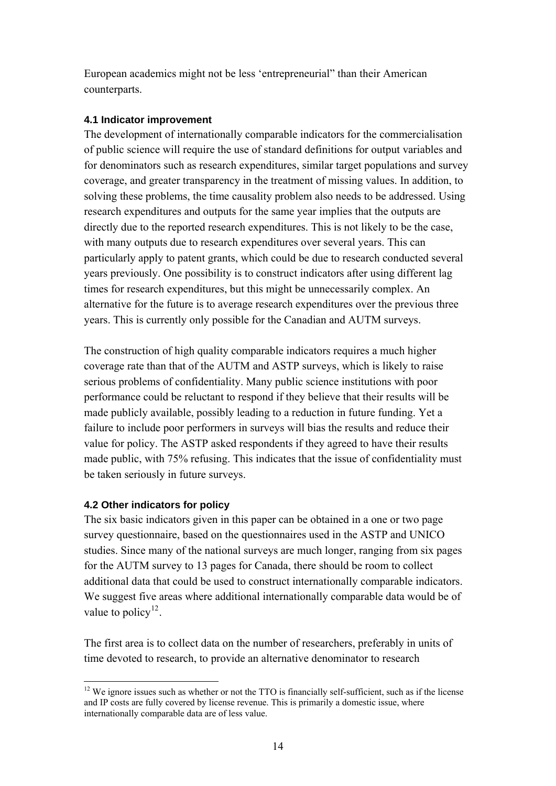European academics might not be less 'entrepreneurial" than their American counterparts.

## **4.1 Indicator improvement**

The development of internationally comparable indicators for the commercialisation of public science will require the use of standard definitions for output variables and for denominators such as research expenditures, similar target populations and survey coverage, and greater transparency in the treatment of missing values. In addition, to solving these problems, the time causality problem also needs to be addressed. Using research expenditures and outputs for the same year implies that the outputs are directly due to the reported research expenditures. This is not likely to be the case, with many outputs due to research expenditures over several years. This can particularly apply to patent grants, which could be due to research conducted several years previously. One possibility is to construct indicators after using different lag times for research expenditures, but this might be unnecessarily complex. An alternative for the future is to average research expenditures over the previous three years. This is currently only possible for the Canadian and AUTM surveys.

The construction of high quality comparable indicators requires a much higher coverage rate than that of the AUTM and ASTP surveys, which is likely to raise serious problems of confidentiality. Many public science institutions with poor performance could be reluctant to respond if they believe that their results will be made publicly available, possibly leading to a reduction in future funding. Yet a failure to include poor performers in surveys will bias the results and reduce their value for policy. The ASTP asked respondents if they agreed to have their results made public, with 75% refusing. This indicates that the issue of confidentiality must be taken seriously in future surveys.

# **4.2 Other indicators for policy**

The six basic indicators given in this paper can be obtained in a one or two page survey questionnaire, based on the questionnaires used in the ASTP and UNICO studies. Since many of the national surveys are much longer, ranging from six pages for the AUTM survey to 13 pages for Canada, there should be room to collect additional data that could be used to construct internationally comparable indicators. We suggest five areas where additional internationally comparable data would be of value to policy<sup>[12](#page-13-0)</sup>.

The first area is to collect data on the number of researchers, preferably in units of time devoted to research, to provide an alternative denominator to research

<span id="page-13-0"></span><sup>1</sup>  $12$  We ignore issues such as whether or not the TTO is financially self-sufficient, such as if the license and IP costs are fully covered by license revenue. This is primarily a domestic issue, where internationally comparable data are of less value.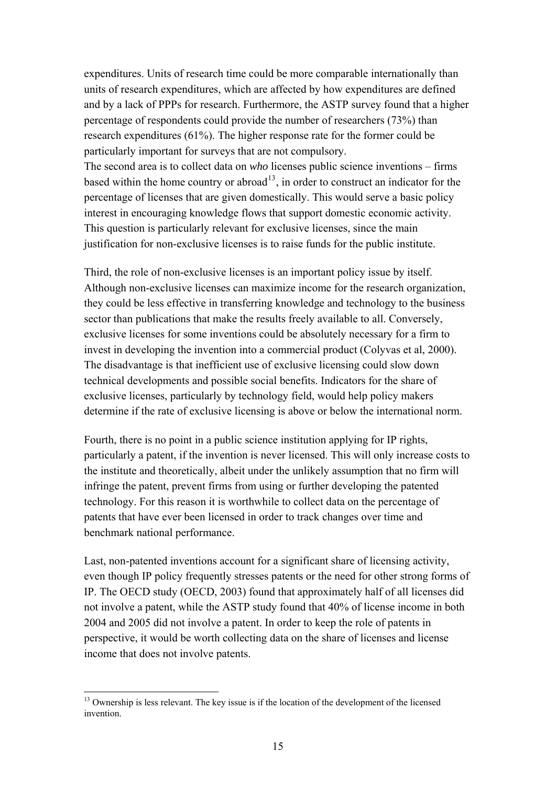expenditures. Units of research time could be more comparable internationally than units of research expenditures, which are affected by how expenditures are defined and by a lack of PPPs for research. Furthermore, the ASTP survey found that a higher percentage of respondents could provide the number of researchers (73%) than research expenditures (61%). The higher response rate for the former could be particularly important for surveys that are not compulsory.

The second area is to collect data on *who* licenses public science inventions – firms based within the home country or abroad<sup>[13](#page-14-0)</sup>, in order to construct an indicator for the percentage of licenses that are given domestically. This would serve a basic policy interest in encouraging knowledge flows that support domestic economic activity. This question is particularly relevant for exclusive licenses, since the main justification for non-exclusive licenses is to raise funds for the public institute.

Third, the role of non-exclusive licenses is an important policy issue by itself. Although non-exclusive licenses can maximize income for the research organization, they could be less effective in transferring knowledge and technology to the business sector than publications that make the results freely available to all. Conversely, exclusive licenses for some inventions could be absolutely necessary for a firm to invest in developing the invention into a commercial product (Colyvas et al, 2000). The disadvantage is that inefficient use of exclusive licensing could slow down technical developments and possible social benefits. Indicators for the share of exclusive licenses, particularly by technology field, would help policy makers determine if the rate of exclusive licensing is above or below the international norm.

Fourth, there is no point in a public science institution applying for IP rights, particularly a patent, if the invention is never licensed. This will only increase costs to the institute and theoretically, albeit under the unlikely assumption that no firm will infringe the patent, prevent firms from using or further developing the patented technology. For this reason it is worthwhile to collect data on the percentage of patents that have ever been licensed in order to track changes over time and benchmark national performance.

Last, non-patented inventions account for a significant share of licensing activity, even though IP policy frequently stresses patents or the need for other strong forms of IP. The OECD study (OECD, 2003) found that approximately half of all licenses did not involve a patent, while the ASTP study found that 40% of license income in both 2004 and 2005 did not involve a patent. In order to keep the role of patents in perspective, it would be worth collecting data on the share of licenses and license income that does not involve patents.

<u>.</u>

<span id="page-14-0"></span><sup>&</sup>lt;sup>13</sup> Ownership is less relevant. The key issue is if the location of the development of the licensed invention.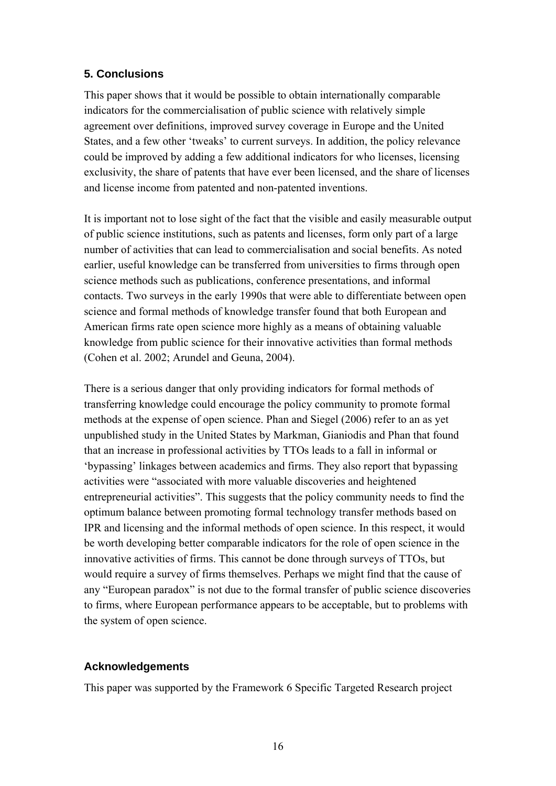# **5. Conclusions**

This paper shows that it would be possible to obtain internationally comparable indicators for the commercialisation of public science with relatively simple agreement over definitions, improved survey coverage in Europe and the United States, and a few other 'tweaks' to current surveys. In addition, the policy relevance could be improved by adding a few additional indicators for who licenses, licensing exclusivity, the share of patents that have ever been licensed, and the share of licenses and license income from patented and non-patented inventions.

It is important not to lose sight of the fact that the visible and easily measurable output of public science institutions, such as patents and licenses, form only part of a large number of activities that can lead to commercialisation and social benefits. As noted earlier, useful knowledge can be transferred from universities to firms through open science methods such as publications, conference presentations, and informal contacts. Two surveys in the early 1990s that were able to differentiate between open science and formal methods of knowledge transfer found that both European and American firms rate open science more highly as a means of obtaining valuable knowledge from public science for their innovative activities than formal methods (Cohen et al. 2002; Arundel and Geuna, 2004).

There is a serious danger that only providing indicators for formal methods of transferring knowledge could encourage the policy community to promote formal methods at the expense of open science. Phan and Siegel (2006) refer to an as yet unpublished study in the United States by Markman, Gianiodis and Phan that found that an increase in professional activities by TTOs leads to a fall in informal or 'bypassing' linkages between academics and firms. They also report that bypassing activities were "associated with more valuable discoveries and heightened entrepreneurial activities". This suggests that the policy community needs to find the optimum balance between promoting formal technology transfer methods based on IPR and licensing and the informal methods of open science. In this respect, it would be worth developing better comparable indicators for the role of open science in the innovative activities of firms. This cannot be done through surveys of TTOs, but would require a survey of firms themselves. Perhaps we might find that the cause of any "European paradox" is not due to the formal transfer of public science discoveries to firms, where European performance appears to be acceptable, but to problems with the system of open science.

### **Acknowledgements**

This paper was supported by the Framework 6 Specific Targeted Research project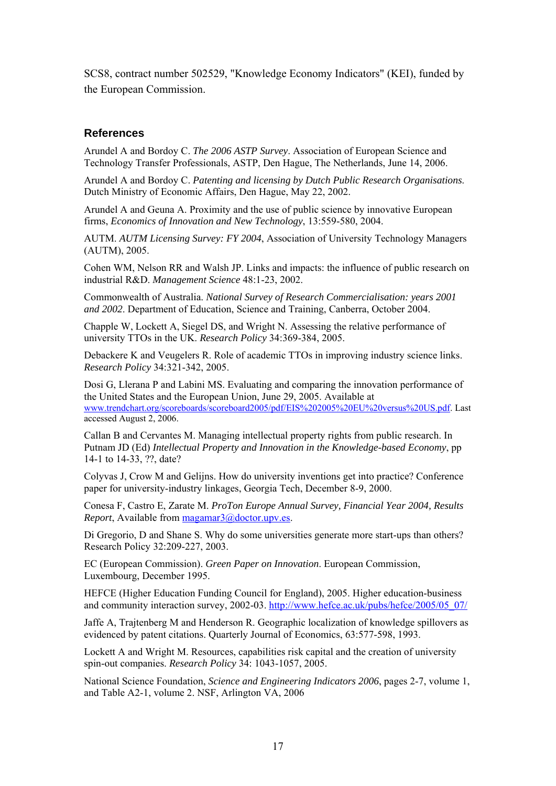SCS8, contract number 502529, "Knowledge Economy Indicators" (KEI), funded by the European Commission.

### **References**

Arundel A and Bordoy C. *The 2006 ASTP Survey*. Association of European Science and Technology Transfer Professionals, ASTP, Den Hague, The Netherlands, June 14, 2006.

Arundel A and Bordoy C. *Patenting and licensing by Dutch Public Research Organisations*. Dutch Ministry of Economic Affairs, Den Hague, May 22, 2002.

Arundel A and Geuna A. Proximity and the use of public science by innovative European firms, *Economics of Innovation and New Technology*, 13:559-580, 2004.

AUTM. *AUTM Licensing Survey: FY 2004*, Association of University Technology Managers (AUTM), 2005.

Cohen WM, Nelson RR and Walsh JP. Links and impacts: the influence of public research on industrial R&D. *Management Science* 48:1-23, 2002.

Commonwealth of Australia. *National Survey of Research Commercialisation: years 2001 and 2002*. Department of Education, Science and Training, Canberra, October 2004.

Chapple W, Lockett A, Siegel DS, and Wright N. Assessing the relative performance of university TTOs in the UK. *Research Policy* 34:369-384, 2005.

Debackere K and Veugelers R. Role of academic TTOs in improving industry science links. *Research Policy* 34:321-342, 2005.

Dosi G, Llerana P and Labini MS. Evaluating and comparing the innovation performance of the United States and the European Union, June 29, 2005. Available at [www.trendchart.org/scoreboards/scoreboard2005/pdf/EIS%202005%20EU%20versus%20US.pdf](http://www.trendchart.org/scoreboards/scoreboard2005/pdf/EIS%202005%20EU%20versus%20US.pdf). Last accessed August 2, 2006.

Callan B and Cervantes M. Managing intellectual property rights from public research. In Putnam JD (Ed) *Intellectual Property and Innovation in the Knowledge-based Economy*, pp 14-1 to 14-33, ??, date?

Colyvas J, Crow M and Gelijns. How do university inventions get into practice? Conference paper for university-industry linkages, Georgia Tech, December 8-9, 2000.

Conesa F, Castro E, Zarate M. *ProTon Europe Annual Survey, Financial Year 2004, Results Report*, Available from [magamar3@doctor.upv.es.](mailto:magamar3@doctor.upv.es)

Di Gregorio, D and Shane S. Why do some universities generate more start-ups than others? Research Policy 32:209-227, 2003.

EC (European Commission). *Green Paper on Innovation*. European Commission, Luxembourg, December 1995.

HEFCE (Higher Education Funding Council for England), 2005. Higher education-business and community interaction survey, 2002-03. [http://www.hefce.ac.uk/pubs/hefce/2005/05\\_07/](http://www.hefce.ac.uk/pubs/hefce/2005/05_07/) 

Jaffe A, Trajtenberg M and Henderson R. Geographic localization of knowledge spillovers as evidenced by patent citations. Quarterly Journal of Economics, 63:577-598, 1993.

Lockett A and Wright M. Resources, capabilities risk capital and the creation of university spin-out companies. *Research Policy* 34: 1043-1057, 2005.

National Science Foundation, *Science and Engineering Indicators 2006*, pages 2-7, volume 1, and Table A2-1, volume 2. NSF, Arlington VA, 2006